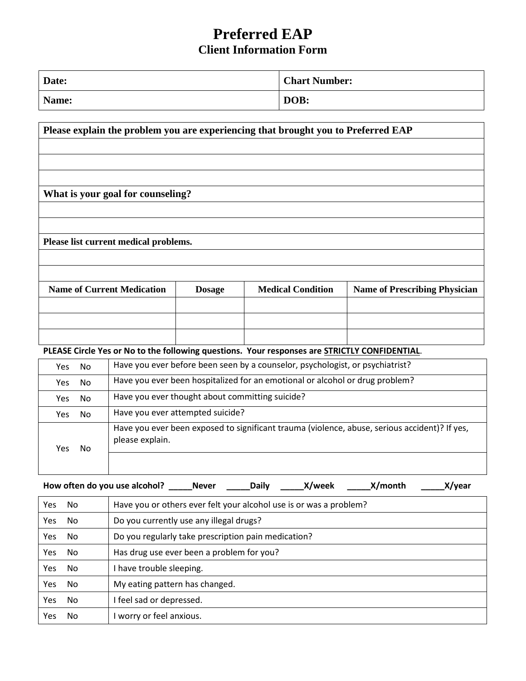# **Preferred EAP Client Information Form**

| Date: | <b>Chart Number:</b> |
|-------|----------------------|
| Name: | DOB:                 |

# **Please explain the problem you are experiencing that brought you to Preferred EAP**

**What is your goal for counseling?**

**Please list current medical problems.**

| <b>Name of Current Medication</b> | <b>Dosage</b> | <b>Medical Condition</b> | <b>Name of Prescribing Physician</b> |
|-----------------------------------|---------------|--------------------------|--------------------------------------|
|                                   |               |                          |                                      |
|                                   |               |                          |                                      |
|                                   |               |                          |                                      |

#### **PLEASE Circle Yes or No to the following questions. Your responses are STRICTLY CONFIDENTIAL**.

| No.<br>Yes | Have you ever before been seen by a counselor, psychologist, or psychiatrist?                                    |  |
|------------|------------------------------------------------------------------------------------------------------------------|--|
| No<br>Yes. | Have you ever been hospitalized for an emotional or alcohol or drug problem?                                     |  |
| No.<br>Yes | Have you ever thought about committing suicide?                                                                  |  |
| No<br>Yes  | Have you ever attempted suicide?                                                                                 |  |
| No.<br>Yes | Have you ever been exposed to significant trauma (violence, abuse, serious accident)? If yes,<br>please explain. |  |

|            |           | How often do you use alcohol?<br>X/week<br>X/month<br>X/year<br><b>Daily</b><br><b>Never</b> |  |  |
|------------|-----------|----------------------------------------------------------------------------------------------|--|--|
| Yes.       | No.       | Have you or others ever felt your alcohol use is or was a problem?                           |  |  |
| Yes        | No        | Do you currently use any illegal drugs?                                                      |  |  |
| Yes        | No        | Do you regularly take prescription pain medication?                                          |  |  |
| Yes        | No        | Has drug use ever been a problem for you?                                                    |  |  |
| <b>Yes</b> | <b>No</b> | I have trouble sleeping.                                                                     |  |  |
| <b>Yes</b> | <b>No</b> | My eating pattern has changed.                                                               |  |  |
| Yes        | <b>No</b> | I feel sad or depressed.                                                                     |  |  |
| Yes        | <b>No</b> | I worry or feel anxious.                                                                     |  |  |